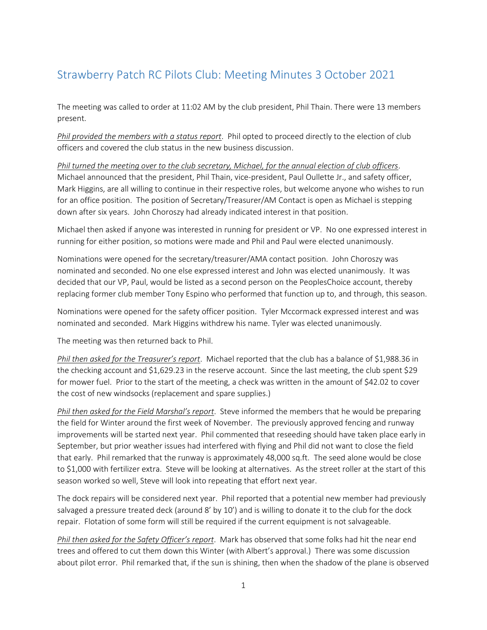## Strawberry Patch RC Pilots Club: Meeting Minutes 3 October 2021

The meeting was called to order at 11:02 AM by the club president, Phil Thain. There were 13 members present.

*Phil provided the members with a status report*. Phil opted to proceed directly to the election of club officers and covered the club status in the new business discussion.

*Phil turned the meeting over to the club secretary, Michael, for the annual election of club officers*. Michael announced that the president, Phil Thain, vice-president, Paul Oullette Jr., and safety officer, Mark Higgins, are all willing to continue in their respective roles, but welcome anyone who wishes to run for an office position. The position of Secretary/Treasurer/AM Contact is open as Michael is stepping down after six years. John Choroszy had already indicated interest in that position.

Michael then asked if anyone was interested in running for president or VP. No one expressed interest in running for either position, so motions were made and Phil and Paul were elected unanimously.

Nominations were opened for the secretary/treasurer/AMA contact position. John Choroszy was nominated and seconded. No one else expressed interest and John was elected unanimously. It was decided that our VP, Paul, would be listed as a second person on the PeoplesChoice account, thereby replacing former club member Tony Espino who performed that function up to, and through, this season.

Nominations were opened for the safety officer position. Tyler Mccormack expressed interest and was nominated and seconded. Mark Higgins withdrew his name. Tyler was elected unanimously.

The meeting was then returned back to Phil.

*Phil then asked for the Treasurer's report*. Michael reported that the club has a balance of \$1,988.36 in the checking account and \$1,629.23 in the reserve account. Since the last meeting, the club spent \$29 for mower fuel. Prior to the start of the meeting, a check was written in the amount of \$42.02 to cover the cost of new windsocks (replacement and spare supplies.)

*Phil then asked for the Field Marshal's report*. Steve informed the members that he would be preparing the field for Winter around the first week of November. The previously approved fencing and runway improvements will be started next year. Phil commented that reseeding should have taken place early in September, but prior weather issues had interfered with flying and Phil did not want to close the field that early. Phil remarked that the runway is approximately 48,000 sq.ft. The seed alone would be close to \$1,000 with fertilizer extra. Steve will be looking at alternatives. As the street roller at the start of this season worked so well, Steve will look into repeating that effort next year.

The dock repairs will be considered next year. Phil reported that a potential new member had previously salvaged a pressure treated deck (around 8' by 10') and is willing to donate it to the club for the dock repair. Flotation of some form will still be required if the current equipment is not salvageable.

*Phil then asked for the Safety Officer's report*. Mark has observed that some folks had hit the near end trees and offered to cut them down this Winter (with Albert's approval.) There was some discussion about pilot error. Phil remarked that, if the sun is shining, then when the shadow of the plane is observed